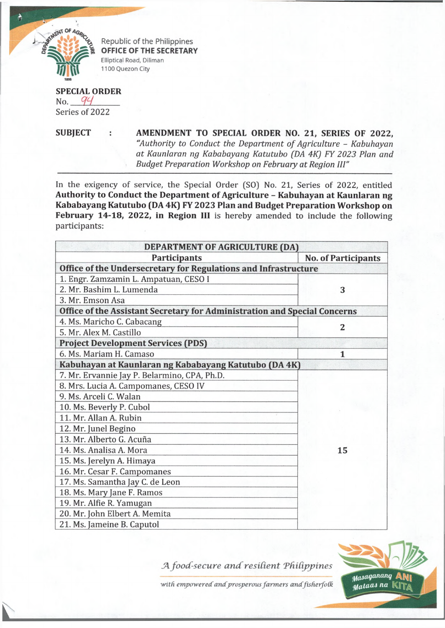

Republic of the Philippines **OFFICE OF THE SECRETARY** Elliptical Road, Diliman 1100 Quezon City

**SPECIAL ORDER** No. 94 Series of 2022

**SUBJECT : AMENDMENT TO SPECIAL ORDER NO. 21, SERIES OF 2022,** *"Authority to Conduct the Department of Agriculture* - *Kabuhayan at Kaunlaran ng Kababayang Katutubo (DA 4K) FY 2023 Plan and Budget Preparation Workshop on February at Region III"*

In the exigency of service, the Special Order (SO] No. 21, Series of 2022, entitled **Authority to Conduct the Department of Agriculture - Kabuhayan at Kaunlaran ng Kababayang Katutubo (DA 4K) FY 2023 Plan and Budget Preparation Workshop on February 14-18, 2022, in Region III** is hereby amended to include the following participants:

| DEPARTMENT OF AGRICULTURE (DA)                                            |                            |  |
|---------------------------------------------------------------------------|----------------------------|--|
| <b>Participants</b>                                                       | <b>No. of Participants</b> |  |
| Office of the Undersecretary for Regulations and Infrastructure           |                            |  |
| 1. Engr. Zamzamin L. Ampatuan, CESO I                                     |                            |  |
| 2. Mr. Bashim L. Lumenda                                                  | 3                          |  |
| 3. Mr. Emson Asa                                                          |                            |  |
| Office of the Assistant Secretary for Administration and Special Concerns |                            |  |
| 4. Ms. Maricho C. Cabacang                                                | $\overline{2}$             |  |
| 5. Mr. Alex M. Castillo                                                   |                            |  |
| <b>Project Development Services (PDS)</b>                                 |                            |  |
| 6. Ms. Mariam H. Camaso                                                   | 1                          |  |
| Kabuhayan at Kaunlaran ng Kababayang Katutubo (DA 4K)                     |                            |  |
| 7. Mr. Ervannie Jay P. Belarmino, CPA, Ph.D.                              |                            |  |
| 8. Mrs. Lucia A. Campomanes, CESO IV                                      |                            |  |
| 9. Ms. Arceli C. Walan                                                    |                            |  |
| 10. Ms. Beverly P. Cubol                                                  |                            |  |
| 11. Mr. Allan A. Rubin                                                    |                            |  |
| 12. Mr. Junel Begino                                                      |                            |  |
| 13. Mr. Alberto G. Acuña                                                  |                            |  |
| 14. Ms. Analisa A. Mora                                                   | 15                         |  |
| 15. Ms. Jerelyn A. Himaya                                                 |                            |  |
| 16. Mr. Cesar F. Campomanes                                               |                            |  |
| 17. Ms. Samantha Jay C. de Leon                                           |                            |  |
| 18. Ms. Mary Jane F. Ramos                                                |                            |  |
| 19. Mr. Alfie R. Yamugan                                                  |                            |  |
| 20. Mr. John Elbert A. Memita                                             |                            |  |
| 21. Ms. Jameine B. Caputol                                                |                            |  |

*A food-secure and resilient Philippines* 



with empowered and prosperous farmers and fisherfolk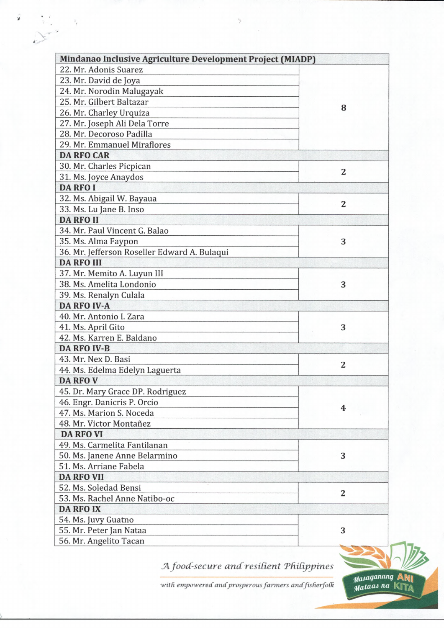|                                              | Mindanao Inclusive Agriculture Development Project (MIADP) |  |
|----------------------------------------------|------------------------------------------------------------|--|
| 22. Mr. Adonis Suarez                        |                                                            |  |
| 23. Mr. David de Joya                        |                                                            |  |
| 24. Mr. Norodin Malugayak                    |                                                            |  |
| 25. Mr. Gilbert Baltazar                     |                                                            |  |
| 26. Mr. Charley Urquiza                      | 8                                                          |  |
| 27. Mr. Joseph Ali Dela Torre                |                                                            |  |
| 28. Mr. Decoroso Padilla                     |                                                            |  |
| 29. Mr. Emmanuel Miraflores                  |                                                            |  |
| <b>DA RFO CAR</b>                            |                                                            |  |
| 30. Mr. Charles Picpican                     |                                                            |  |
| 31. Ms. Joyce Anaydos                        | $\overline{2}$                                             |  |
| <b>DA RFO I</b>                              |                                                            |  |
| 32. Ms. Abigail W. Bayaua                    |                                                            |  |
| 33. Ms. Lu Jane B. Inso                      | $\overline{2}$                                             |  |
| <b>DA RFO II</b>                             |                                                            |  |
| 34. Mr. Paul Vincent G. Balao                |                                                            |  |
| 35. Ms. Alma Faypon                          | 3                                                          |  |
| 36. Mr. Jefferson Roseller Edward A. Bulaqui |                                                            |  |
| <b>DA RFO III</b>                            |                                                            |  |
| 37. Mr. Memito A. Luyun III                  |                                                            |  |
| 38. Ms. Amelita Londonio                     | 3                                                          |  |
| 39. Ms. Renalyn Culala                       |                                                            |  |
| <b>DA RFO IV-A</b>                           |                                                            |  |
| 40. Mr. Antonio I. Zara                      |                                                            |  |
| 41. Ms. April Gito                           | 3                                                          |  |
| 42. Ms. Karren E. Baldano                    |                                                            |  |
| <b>DA RFO IV-B</b>                           |                                                            |  |
| 43. Mr. Nex D. Basi                          |                                                            |  |
| 44. Ms. Edelma Edelyn Laguerta               | $\overline{2}$                                             |  |
| <b>DA RFO V</b>                              |                                                            |  |
| 45. Dr. Mary Grace DP. Rodriguez             |                                                            |  |
| 46. Engr. Danicris P. Orcio                  |                                                            |  |
| 47. Ms. Marion S. Noceda                     | 4                                                          |  |
| 48. Mr. Victor Montañez                      |                                                            |  |
| <b>DA RFO VI</b>                             |                                                            |  |
| 49. Ms. Carmelita Fantilanan                 |                                                            |  |
| 50. Ms. Janene Anne Belarmino                | 3                                                          |  |
| 51. Ms. Arriane Fabela                       |                                                            |  |
| <b>DA RFO VII</b>                            |                                                            |  |
| 52. Ms. Soledad Bensi                        | $\overline{\mathbf{c}}$                                    |  |
| 53. Ms. Rachel Anne Natibo-oc                |                                                            |  |
| <b>DA RFO IX</b>                             |                                                            |  |
| 54. Ms. Juvy Guatno                          |                                                            |  |
| 55. Mr. Peter Jan Nataa                      | 3                                                          |  |
| 56. Mr. Angelito Tacan                       |                                                            |  |

 $\checkmark$ *\**

 $\frac{T}{T}$ 

 $A$  food-secure and resilient Philippines

with empowered and prosperous farmers and fisherfolk

*tfcaagaMriQ* **Afy|** *na* KITa